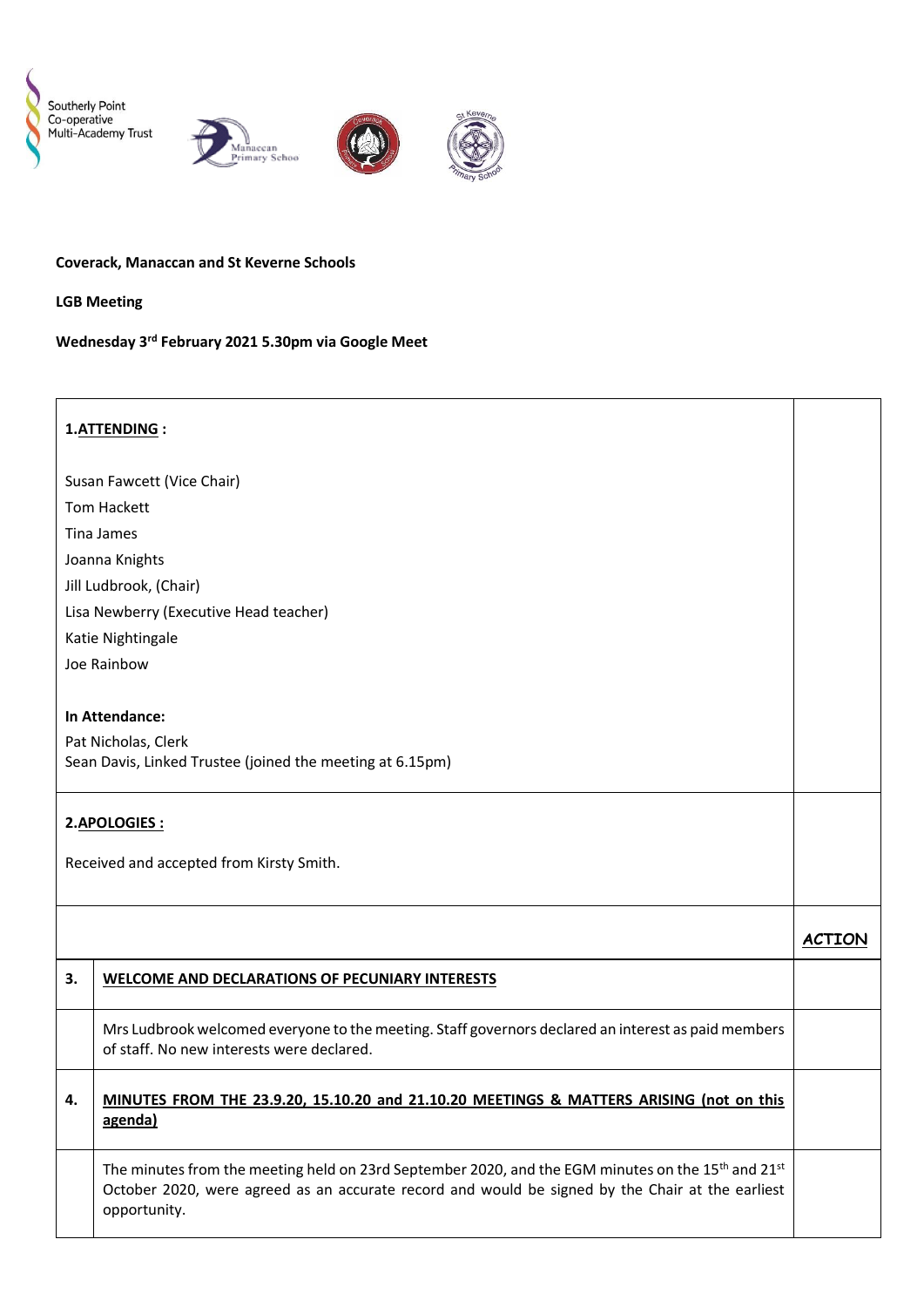





#### **Coverack, Manaccan and St Keverne Schools**

**LGB Meeting**

## **Wednesday 3rd February 2021 5.30pm via Google Meet**

#### **1.ATTENDING :**

Susan Fawcett (Vice Chair) Tom Hackett Tina James Joanna Knights Jill Ludbrook, (Chair) Lisa Newberry (Executive Head teacher) Katie Nightingale Joe Rainbow

## **In Attendance:**

Pat Nicholas, Clerk Sean Davis, Linked Trustee (joined the meeting at 6.15pm)

# **2.APOLOGIES :**

Received and accepted from Kirsty Smith.

| 3. | <b>WELCOME AND DECLARATIONS OF PECUNIARY INTERESTS</b>                                                                                                                                                                     |  |
|----|----------------------------------------------------------------------------------------------------------------------------------------------------------------------------------------------------------------------------|--|
|    | Mrs Ludbrook welcomed everyone to the meeting. Staff governors declared an interest as paid members<br>of staff. No new interests were declared.                                                                           |  |
| 4. | MINUTES FROM THE 23.9.20, 15.10.20 and 21.10.20 MEETINGS & MATTERS ARISING (not on this<br>agenda)                                                                                                                         |  |
|    | The minutes from the meeting held on 23rd September 2020, and the EGM minutes on the $15th$ and $21st$<br>October 2020, were agreed as an accurate record and would be signed by the Chair at the earliest<br>opportunity. |  |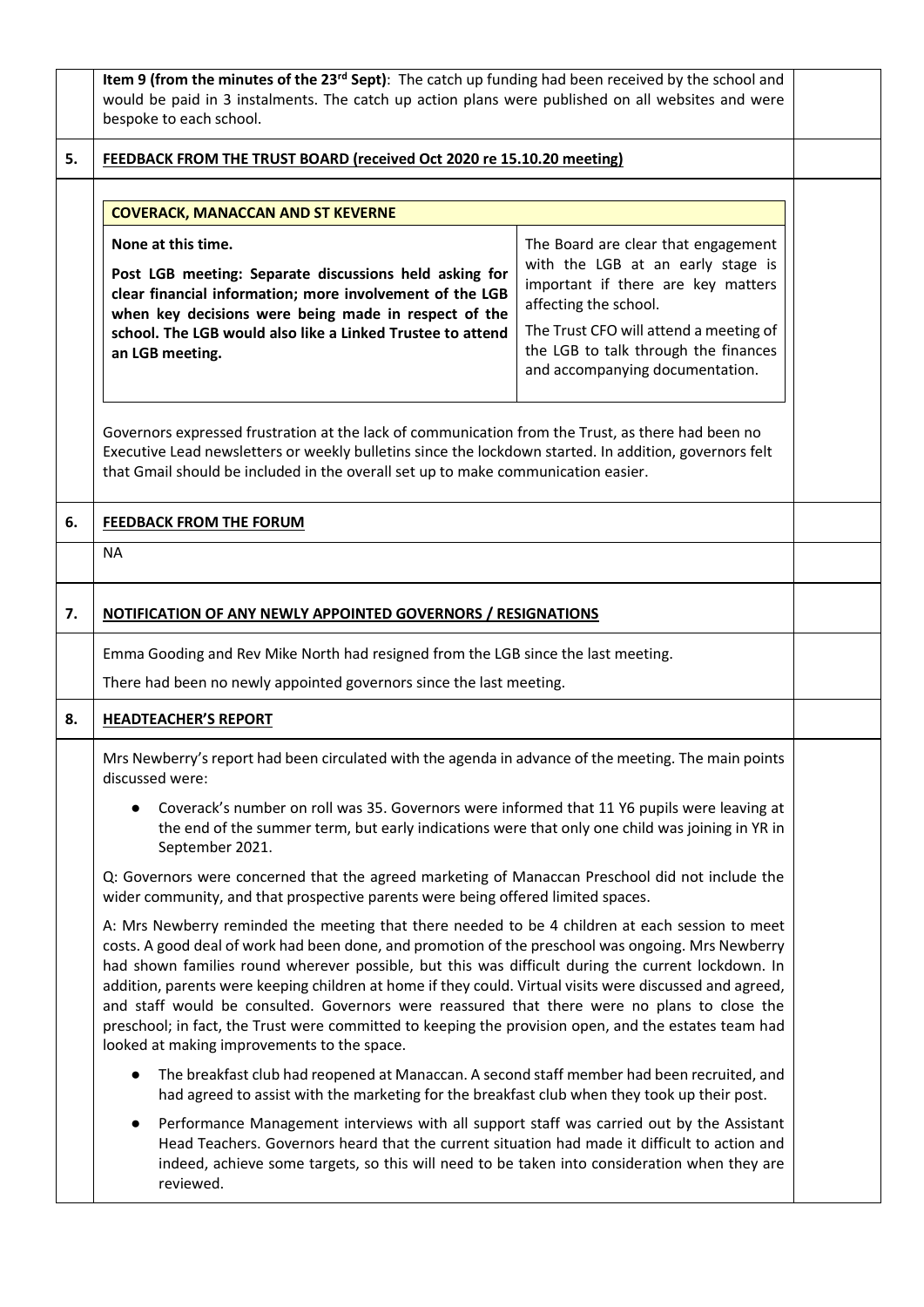|    | Item 9 (from the minutes of the 23 <sup>rd</sup> Sept): The catch up funding had been received by the school and<br>would be paid in 3 instalments. The catch up action plans were published on all websites and were<br>bespoke to each school.                                                                                                                                                                                                                                                                                                                                                                                                                               |                                                                                                                                                                                                                                                              |  |  |  |
|----|--------------------------------------------------------------------------------------------------------------------------------------------------------------------------------------------------------------------------------------------------------------------------------------------------------------------------------------------------------------------------------------------------------------------------------------------------------------------------------------------------------------------------------------------------------------------------------------------------------------------------------------------------------------------------------|--------------------------------------------------------------------------------------------------------------------------------------------------------------------------------------------------------------------------------------------------------------|--|--|--|
| 5. | FEEDBACK FROM THE TRUST BOARD (received Oct 2020 re 15.10.20 meeting)                                                                                                                                                                                                                                                                                                                                                                                                                                                                                                                                                                                                          |                                                                                                                                                                                                                                                              |  |  |  |
|    |                                                                                                                                                                                                                                                                                                                                                                                                                                                                                                                                                                                                                                                                                |                                                                                                                                                                                                                                                              |  |  |  |
|    | <b>COVERACK, MANACCAN AND ST KEVERNE</b>                                                                                                                                                                                                                                                                                                                                                                                                                                                                                                                                                                                                                                       |                                                                                                                                                                                                                                                              |  |  |  |
|    | None at this time.<br>Post LGB meeting: Separate discussions held asking for<br>clear financial information; more involvement of the LGB<br>when key decisions were being made in respect of the<br>school. The LGB would also like a Linked Trustee to attend<br>an LGB meeting.                                                                                                                                                                                                                                                                                                                                                                                              | The Board are clear that engagement<br>with the LGB at an early stage is<br>important if there are key matters<br>affecting the school.<br>The Trust CFO will attend a meeting of<br>the LGB to talk through the finances<br>and accompanying documentation. |  |  |  |
|    | Governors expressed frustration at the lack of communication from the Trust, as there had been no<br>Executive Lead newsletters or weekly bulletins since the lockdown started. In addition, governors felt<br>that Gmail should be included in the overall set up to make communication easier.                                                                                                                                                                                                                                                                                                                                                                               |                                                                                                                                                                                                                                                              |  |  |  |
| 6. | <b>FEEDBACK FROM THE FORUM</b>                                                                                                                                                                                                                                                                                                                                                                                                                                                                                                                                                                                                                                                 |                                                                                                                                                                                                                                                              |  |  |  |
|    | <b>NA</b>                                                                                                                                                                                                                                                                                                                                                                                                                                                                                                                                                                                                                                                                      |                                                                                                                                                                                                                                                              |  |  |  |
| 7. | NOTIFICATION OF ANY NEWLY APPOINTED GOVERNORS / RESIGNATIONS<br>Emma Gooding and Rev Mike North had resigned from the LGB since the last meeting.<br>There had been no newly appointed governors since the last meeting.                                                                                                                                                                                                                                                                                                                                                                                                                                                       |                                                                                                                                                                                                                                                              |  |  |  |
| 8. | <b>HEADTEACHER'S REPORT</b>                                                                                                                                                                                                                                                                                                                                                                                                                                                                                                                                                                                                                                                    |                                                                                                                                                                                                                                                              |  |  |  |
|    | Mrs Newberry's report had been circulated with the agenda in advance of the meeting. The main points<br>discussed were:<br>Coverack's number on roll was 35. Governors were informed that 11 Y6 pupils were leaving at<br>the end of the summer term, but early indications were that only one child was joining in YR in<br>September 2021.<br>Q: Governors were concerned that the agreed marketing of Manaccan Preschool did not include the<br>wider community, and that prospective parents were being offered limited spaces.                                                                                                                                            |                                                                                                                                                                                                                                                              |  |  |  |
|    | A: Mrs Newberry reminded the meeting that there needed to be 4 children at each session to meet<br>costs. A good deal of work had been done, and promotion of the preschool was ongoing. Mrs Newberry<br>had shown families round wherever possible, but this was difficult during the current lockdown. In<br>addition, parents were keeping children at home if they could. Virtual visits were discussed and agreed,<br>and staff would be consulted. Governors were reassured that there were no plans to close the<br>preschool; in fact, the Trust were committed to keeping the provision open, and the estates team had<br>looked at making improvements to the space. |                                                                                                                                                                                                                                                              |  |  |  |
|    | The breakfast club had reopened at Manaccan. A second staff member had been recruited, and<br>$\bullet$<br>had agreed to assist with the marketing for the breakfast club when they took up their post.                                                                                                                                                                                                                                                                                                                                                                                                                                                                        |                                                                                                                                                                                                                                                              |  |  |  |
|    | Performance Management interviews with all support staff was carried out by the Assistant<br>$\bullet$<br>Head Teachers. Governors heard that the current situation had made it difficult to action and<br>indeed, achieve some targets, so this will need to be taken into consideration when they are<br>reviewed.                                                                                                                                                                                                                                                                                                                                                           |                                                                                                                                                                                                                                                              |  |  |  |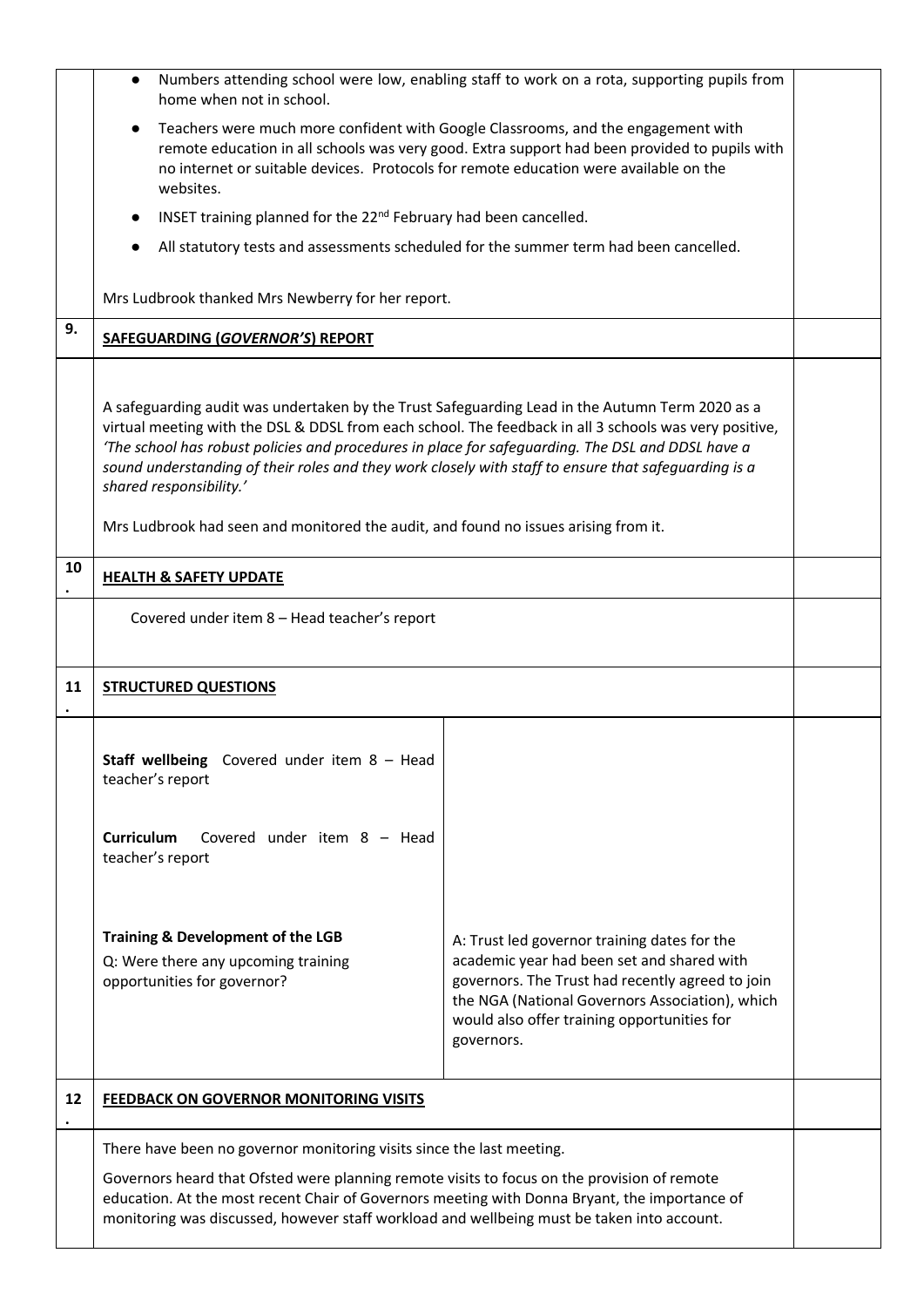|    | $\bullet$<br>home when not in school.                                                                                                                                                                                                                                                                                                                                                                                                                                                                                                    | Numbers attending school were low, enabling staff to work on a rota, supporting pupils from                                                                                                                                                                    |  |  |  |
|----|------------------------------------------------------------------------------------------------------------------------------------------------------------------------------------------------------------------------------------------------------------------------------------------------------------------------------------------------------------------------------------------------------------------------------------------------------------------------------------------------------------------------------------------|----------------------------------------------------------------------------------------------------------------------------------------------------------------------------------------------------------------------------------------------------------------|--|--|--|
|    | Teachers were much more confident with Google Classrooms, and the engagement with<br>$\bullet$<br>remote education in all schools was very good. Extra support had been provided to pupils with<br>no internet or suitable devices. Protocols for remote education were available on the<br>websites.                                                                                                                                                                                                                                    |                                                                                                                                                                                                                                                                |  |  |  |
|    | INSET training planned for the 22 <sup>nd</sup> February had been cancelled.<br>$\bullet$                                                                                                                                                                                                                                                                                                                                                                                                                                                |                                                                                                                                                                                                                                                                |  |  |  |
|    | All statutory tests and assessments scheduled for the summer term had been cancelled.                                                                                                                                                                                                                                                                                                                                                                                                                                                    |                                                                                                                                                                                                                                                                |  |  |  |
|    | Mrs Ludbrook thanked Mrs Newberry for her report.                                                                                                                                                                                                                                                                                                                                                                                                                                                                                        |                                                                                                                                                                                                                                                                |  |  |  |
| 9. | SAFEGUARDING (GOVERNOR'S) REPORT                                                                                                                                                                                                                                                                                                                                                                                                                                                                                                         |                                                                                                                                                                                                                                                                |  |  |  |
|    | A safeguarding audit was undertaken by the Trust Safeguarding Lead in the Autumn Term 2020 as a<br>virtual meeting with the DSL & DDSL from each school. The feedback in all 3 schools was very positive,<br>'The school has robust policies and procedures in place for safeguarding. The DSL and DDSL have a<br>sound understanding of their roles and they work closely with staff to ensure that safeguarding is a<br>shared responsibility.'<br>Mrs Ludbrook had seen and monitored the audit, and found no issues arising from it. |                                                                                                                                                                                                                                                                |  |  |  |
| 10 | <b>HEALTH &amp; SAFETY UPDATE</b>                                                                                                                                                                                                                                                                                                                                                                                                                                                                                                        |                                                                                                                                                                                                                                                                |  |  |  |
|    | Covered under item 8 - Head teacher's report                                                                                                                                                                                                                                                                                                                                                                                                                                                                                             |                                                                                                                                                                                                                                                                |  |  |  |
| 11 | <b>STRUCTURED QUESTIONS</b>                                                                                                                                                                                                                                                                                                                                                                                                                                                                                                              |                                                                                                                                                                                                                                                                |  |  |  |
|    | <b>Staff wellbeing</b> Covered under item $8 - Head$<br>teacher's report                                                                                                                                                                                                                                                                                                                                                                                                                                                                 |                                                                                                                                                                                                                                                                |  |  |  |
|    | Curriculum Covered under item 8 - Head<br>teacher's report                                                                                                                                                                                                                                                                                                                                                                                                                                                                               |                                                                                                                                                                                                                                                                |  |  |  |
|    | <b>Training &amp; Development of the LGB</b><br>Q: Were there any upcoming training<br>opportunities for governor?                                                                                                                                                                                                                                                                                                                                                                                                                       | A: Trust led governor training dates for the<br>academic year had been set and shared with<br>governors. The Trust had recently agreed to join<br>the NGA (National Governors Association), which<br>would also offer training opportunities for<br>governors. |  |  |  |
| 12 | <b>FEEDBACK ON GOVERNOR MONITORING VISITS</b>                                                                                                                                                                                                                                                                                                                                                                                                                                                                                            |                                                                                                                                                                                                                                                                |  |  |  |
|    | There have been no governor monitoring visits since the last meeting.                                                                                                                                                                                                                                                                                                                                                                                                                                                                    |                                                                                                                                                                                                                                                                |  |  |  |
|    | Governors heard that Ofsted were planning remote visits to focus on the provision of remote<br>education. At the most recent Chair of Governors meeting with Donna Bryant, the importance of<br>monitoring was discussed, however staff workload and wellbeing must be taken into account.                                                                                                                                                                                                                                               |                                                                                                                                                                                                                                                                |  |  |  |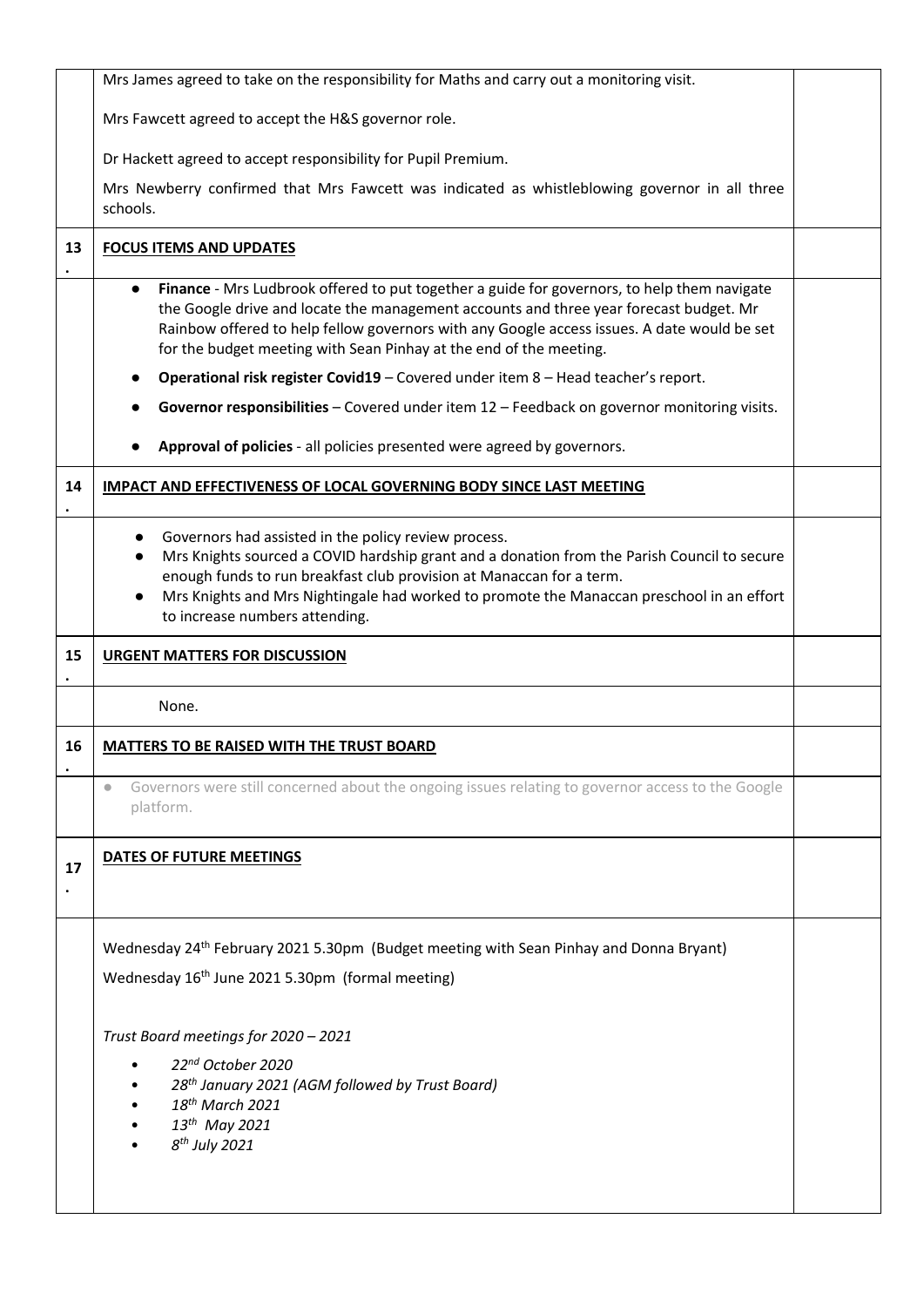|    | Mrs James agreed to take on the responsibility for Maths and carry out a monitoring visit.                                                                                                                                                                                                                                                                                                        |  |
|----|---------------------------------------------------------------------------------------------------------------------------------------------------------------------------------------------------------------------------------------------------------------------------------------------------------------------------------------------------------------------------------------------------|--|
|    | Mrs Fawcett agreed to accept the H&S governor role.                                                                                                                                                                                                                                                                                                                                               |  |
|    | Dr Hackett agreed to accept responsibility for Pupil Premium.                                                                                                                                                                                                                                                                                                                                     |  |
|    | Mrs Newberry confirmed that Mrs Fawcett was indicated as whistleblowing governor in all three<br>schools.                                                                                                                                                                                                                                                                                         |  |
| 13 | <b>FOCUS ITEMS AND UPDATES</b>                                                                                                                                                                                                                                                                                                                                                                    |  |
|    | Finance - Mrs Ludbrook offered to put together a guide for governors, to help them navigate<br>$\bullet$<br>the Google drive and locate the management accounts and three year forecast budget. Mr<br>Rainbow offered to help fellow governors with any Google access issues. A date would be set<br>for the budget meeting with Sean Pinhay at the end of the meeting.                           |  |
|    | Operational risk register Covid19 - Covered under item 8 - Head teacher's report.                                                                                                                                                                                                                                                                                                                 |  |
|    | Governor responsibilities - Covered under item 12 - Feedback on governor monitoring visits.                                                                                                                                                                                                                                                                                                       |  |
|    | Approval of policies - all policies presented were agreed by governors.                                                                                                                                                                                                                                                                                                                           |  |
| 14 | <b>IMPACT AND EFFECTIVENESS OF LOCAL GOVERNING BODY SINCE LAST MEETING</b>                                                                                                                                                                                                                                                                                                                        |  |
|    | Governors had assisted in the policy review process.<br>$\bullet$<br>Mrs Knights sourced a COVID hardship grant and a donation from the Parish Council to secure<br>$\bullet$<br>enough funds to run breakfast club provision at Manaccan for a term.<br>Mrs Knights and Mrs Nightingale had worked to promote the Manaccan preschool in an effort<br>$\bullet$<br>to increase numbers attending. |  |
|    |                                                                                                                                                                                                                                                                                                                                                                                                   |  |
| 15 | <b>URGENT MATTERS FOR DISCUSSION</b>                                                                                                                                                                                                                                                                                                                                                              |  |
|    | None.                                                                                                                                                                                                                                                                                                                                                                                             |  |
| 16 | <b>MATTERS TO BE RAISED WITH THE TRUST BOARD</b>                                                                                                                                                                                                                                                                                                                                                  |  |
|    | Governors were still concerned about the ongoing issues relating to governor access to the Google<br>$\bullet$<br>platform.                                                                                                                                                                                                                                                                       |  |
| 17 | <b>DATES OF FUTURE MEETINGS</b>                                                                                                                                                                                                                                                                                                                                                                   |  |
|    | Wednesday 24 <sup>th</sup> February 2021 5.30pm (Budget meeting with Sean Pinhay and Donna Bryant)<br>Wednesday 16 <sup>th</sup> June 2021 5.30pm (formal meeting)                                                                                                                                                                                                                                |  |